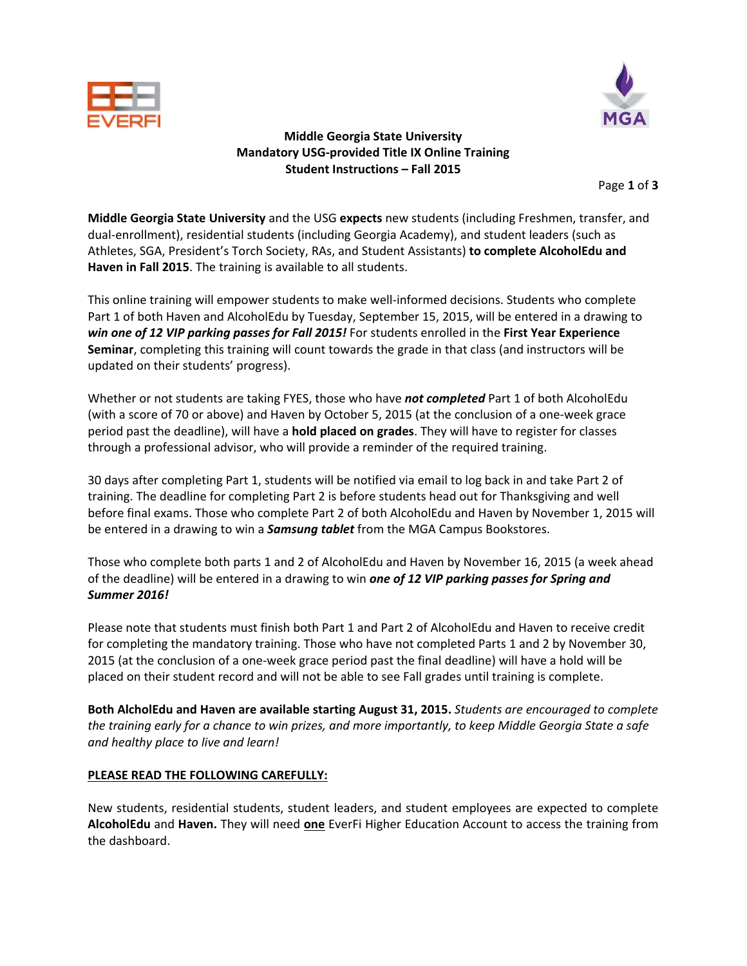



## **Middle Georgia State University Mandatory USG‐provided Title IX Online Training Student Instructions – Fall 2015**

Page **1** of **3**

**Middle Georgia State University** and the USG **expects** new students (including Freshmen, transfer, and dual‐enrollment), residential students (including Georgia Academy), and student leaders (such as Athletes, SGA, President's Torch Society, RAs, and Student Assistants) **to complete AlcoholEdu and Haven in Fall 2015**. The training is available to all students.

This online training will empower students to make well‐informed decisions. Students who complete Part 1 of both Haven and AlcoholEdu by Tuesday, September 15, 2015, will be entered in a drawing to *win one of 12 VIP parking passes for Fall 2015!* For students enrolled in the **First Year Experience Seminar**, completing this training will count towards the grade in that class (and instructors will be updated on their students' progress).

Whether or not students are taking FYES, those who have *not completed* Part 1 of both AlcoholEdu (with a score of 70 or above) and Haven by October 5, 2015 (at the conclusion of a one‐week grace period past the deadline), will have a **hold placed on grades**. They will have to register for classes through a professional advisor, who will provide a reminder of the required training.

30 days after completing Part 1, students will be notified via email to log back in and take Part 2 of training. The deadline for completing Part 2 is before students head out for Thanksgiving and well before final exams. Those who complete Part 2 of both AlcoholEdu and Haven by November 1, 2015 will be entered in a drawing to win a *Samsung tablet* from the MGA Campus Bookstores.

Those who complete both parts 1 and 2 of AlcoholEdu and Haven by November 16, 2015 (a week ahead of the deadline) will be entered in a drawing to win *one of 12 VIP parking passes for Spring and Summer 2016!*

Please note that students must finish both Part 1 and Part 2 of AlcoholEdu and Haven to receive credit for completing the mandatory training. Those who have not completed Parts 1 and 2 by November 30, 2015 (at the conclusion of a one‐week grace period past the final deadline) will have a hold will be placed on their student record and will not be able to see Fall grades until training is complete.

**Both AlcholEdu and Haven are available starting August 31, 2015.** *Students are encouraged to complete* the training early for a chance to win prizes, and more importantly, to keep Middle Georgia State a safe *and healthy place to live and learn!*

### **PLEASE READ THE FOLLOWING CAREFULLY:**

New students, residential students, student leaders, and student employees are expected to complete **AlcoholEdu** and **Haven.** They will need **one** EverFi Higher Education Account to access the training from the dashboard.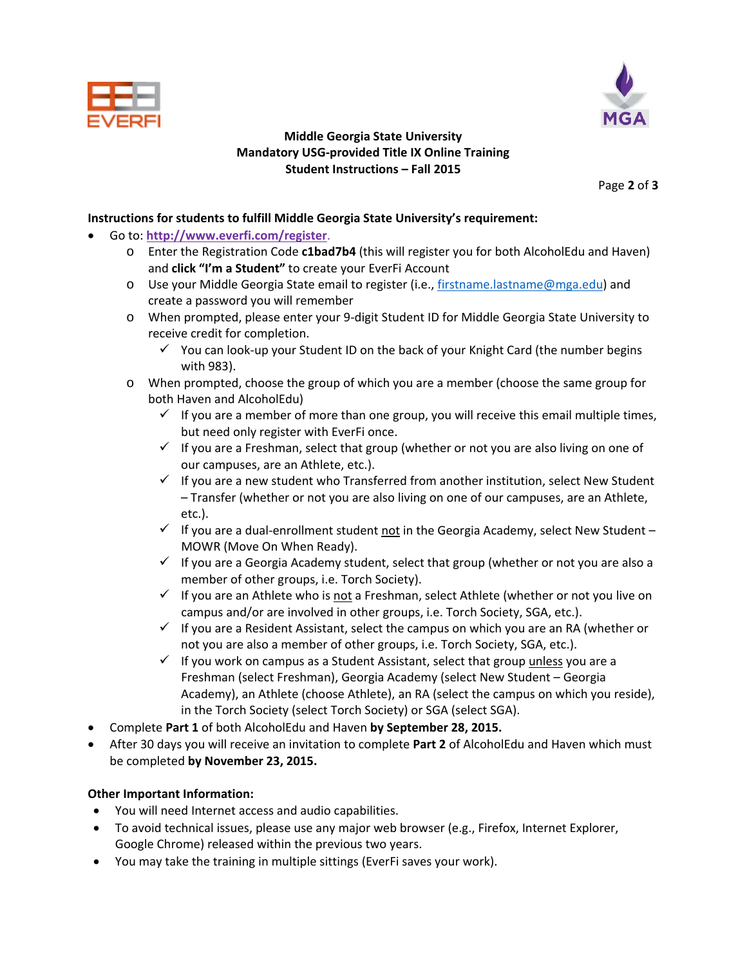



# **Middle Georgia State University Mandatory USG‐provided Title IX Online Training Student Instructions – Fall 2015**

Page **2** of **3**

## **Instructions for students to fulfill Middle Georgia State University's requirement:**

- Go to: **http://www.everfi.com/register**.
	- o Enter the Registration Code **c1bad7b4** (this will register you for both AlcoholEdu and Haven) and **click "I'm a Student"** to create your EverFi Account
	- o Use your Middle Georgia State email to register (i.e., firstname.lastname@mga.edu) and create a password you will remember
	- o When prompted, please enter your 9‐digit Student ID for Middle Georgia State University to receive credit for completion.
		- $\checkmark$  You can look-up your Student ID on the back of your Knight Card (the number begins with 983).
	- o When prompted, choose the group of which you are a member (choose the same group for both Haven and AlcoholEdu)
		- $\checkmark$  If you are a member of more than one group, you will receive this email multiple times, but need only register with EverFi once.
		- $\checkmark$  If you are a Freshman, select that group (whether or not you are also living on one of our campuses, are an Athlete, etc.).
		- $\checkmark$  If you are a new student who Transferred from another institution, select New Student – Transfer (whether or not you are also living on one of our campuses, are an Athlete, etc.).
		- $\checkmark$  If you are a dual-enrollment student not in the Georgia Academy, select New Student MOWR (Move On When Ready).
		- $\checkmark$  If you are a Georgia Academy student, select that group (whether or not you are also a member of other groups, i.e. Torch Society).
		- $\checkmark$  If you are an Athlete who is not a Freshman, select Athlete (whether or not you live on campus and/or are involved in other groups, i.e. Torch Society, SGA, etc.).
		- $\checkmark$  If you are a Resident Assistant, select the campus on which you are an RA (whether or not you are also a member of other groups, i.e. Torch Society, SGA, etc.).
		- $\checkmark$  If you work on campus as a Student Assistant, select that group unless you are a Freshman (select Freshman), Georgia Academy (select New Student – Georgia Academy), an Athlete (choose Athlete), an RA (select the campus on which you reside), in the Torch Society (select Torch Society) or SGA (select SGA).
- Complete **Part 1** of both AlcoholEdu and Haven **by September 28, 2015.**
- After 30 days you will receive an invitation to complete **Part 2** of AlcoholEdu and Haven which must be completed **by November 23, 2015.**

### **Other Important Information:**

- You will need Internet access and audio capabilities.
- To avoid technical issues, please use any major web browser (e.g., Firefox, Internet Explorer, Google Chrome) released within the previous two years.
- You may take the training in multiple sittings (EverFi saves your work).